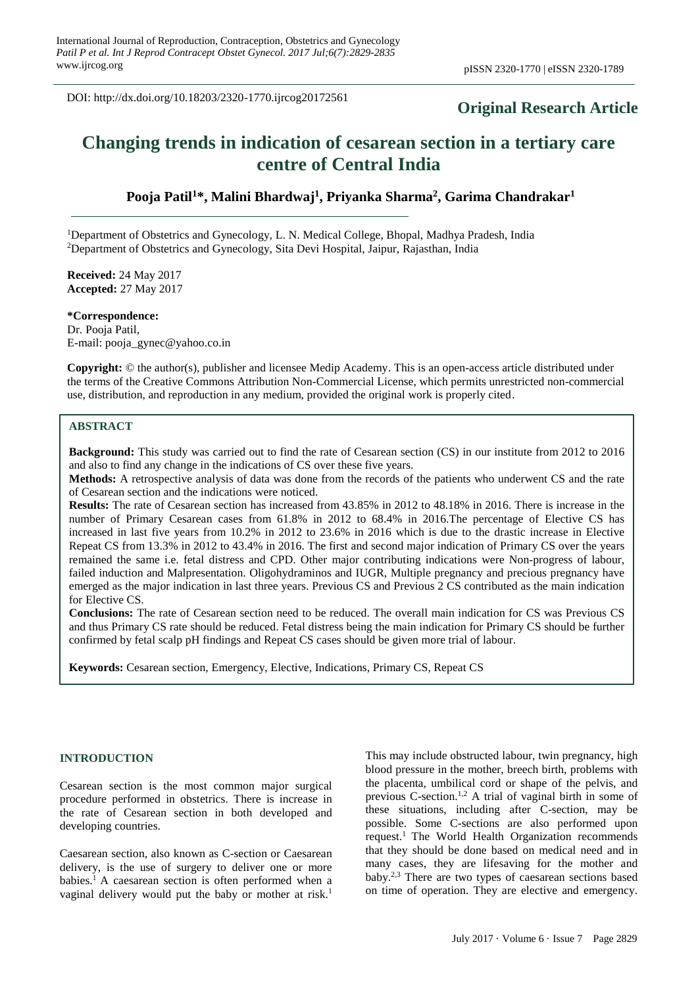DOI: http://dx.doi.org/10.18203/2320-1770.ijrcog20172561

## **Original Research Article**

# **Changing trends in indication of cesarean section in a tertiary care centre of Central India**

**Pooja Patil<sup>1</sup>\*, Malini Bhardwaj<sup>1</sup> , Priyanka Sharma<sup>2</sup> , Garima Chandrakar<sup>1</sup>**

<sup>1</sup>Department of Obstetrics and Gynecology, L. N. Medical College, Bhopal, Madhya Pradesh, India <sup>2</sup>Department of Obstetrics and Gynecology, Sita Devi Hospital, Jaipur, Rajasthan, India

**Received:** 24 May 2017 **Accepted:** 27 May 2017

**\*Correspondence:** Dr. Pooja Patil, E-mail: pooja\_gynec@yahoo.co.in

**Copyright:** © the author(s), publisher and licensee Medip Academy. This is an open-access article distributed under the terms of the Creative Commons Attribution Non-Commercial License, which permits unrestricted non-commercial use, distribution, and reproduction in any medium, provided the original work is properly cited.

#### **ABSTRACT**

**Background:** This study was carried out to find the rate of Cesarean section (CS) in our institute from 2012 to 2016 and also to find any change in the indications of CS over these five years.

**Methods:** A retrospective analysis of data was done from the records of the patients who underwent CS and the rate of Cesarean section and the indications were noticed.

**Results:** The rate of Cesarean section has increased from 43.85% in 2012 to 48.18% in 2016. There is increase in the number of Primary Cesarean cases from 61.8% in 2012 to 68.4% in 2016.The percentage of Elective CS has increased in last five years from 10.2% in 2012 to 23.6% in 2016 which is due to the drastic increase in Elective Repeat CS from 13.3% in 2012 to 43.4% in 2016. The first and second major indication of Primary CS over the years remained the same i.e. fetal distress and CPD. Other major contributing indications were Non-progress of labour, failed induction and Malpresentation. Oligohydraminos and IUGR, Multiple pregnancy and precious pregnancy have emerged as the major indication in last three years. Previous CS and Previous 2 CS contributed as the main indication for Elective CS.

**Conclusions:** The rate of Cesarean section need to be reduced. The overall main indication for CS was Previous CS and thus Primary CS rate should be reduced. Fetal distress being the main indication for Primary CS should be further confirmed by fetal scalp pH findings and Repeat CS cases should be given more trial of labour.

**Keywords:** Cesarean section, Emergency, Elective, Indications, Primary CS, Repeat CS

#### **INTRODUCTION**

Cesarean section is the most common major surgical procedure performed in obstetrics. There is increase in the rate of Cesarean section in both developed and developing countries.

Caesarean section, also known as C-section or Caesarean delivery, is the use of surgery to deliver one or more babies. <sup>1</sup> A caesarean section is often performed when a vaginal delivery would put the baby or mother at risk. 1

This may include obstructed labour, twin pregnancy, high blood pressure in the mother, breech birth, problems with the placenta, umbilical cord or shape of the pelvis, and previous C-section. 1,2 A trial of vaginal birth in some of these situations, including after C-section, may be possible. Some C-sections are also performed upon request. <sup>1</sup> The World Health Organization recommends that they should be done based on medical need and in many cases, they are lifesaving for the mother and baby. 2,3 There are two types of caesarean sections based on time of operation. They are elective and emergency.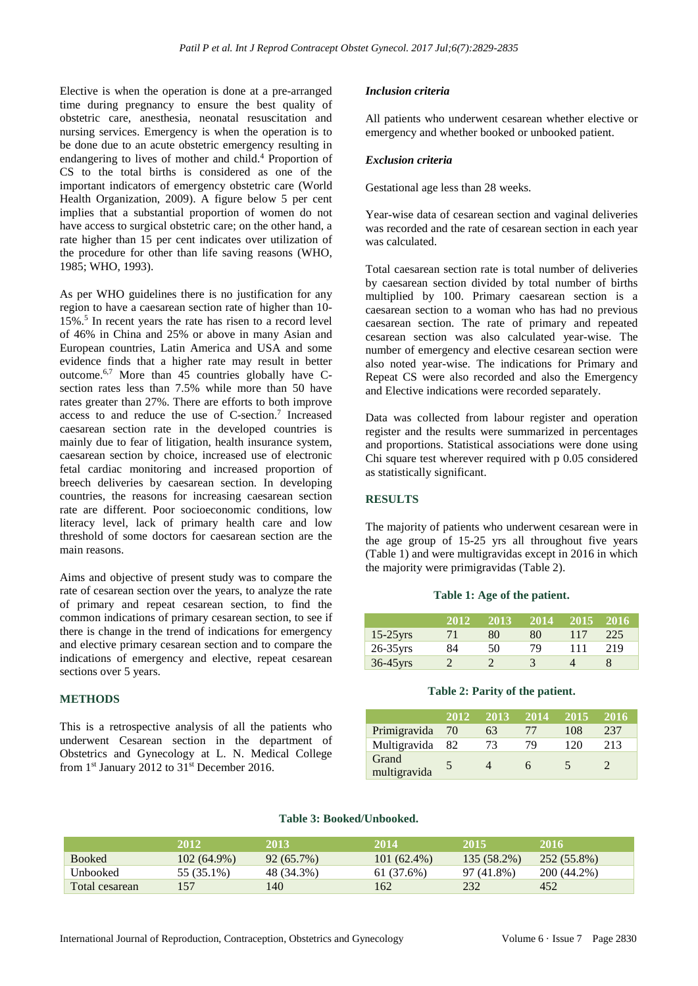Elective is when the operation is done at a pre-arranged time during pregnancy to ensure the best quality of obstetric care, anesthesia, neonatal resuscitation and nursing services. Emergency is when the operation is to be done due to an acute obstetric emergency resulting in endangering to lives of mother and child. <sup>4</sup> Proportion of CS to the total births is considered as one of the important indicators of emergency obstetric care (World Health Organization, 2009). A figure below 5 per cent implies that a substantial proportion of women do not have access to surgical obstetric care; on the other hand, a rate higher than 15 per cent indicates over utilization of the procedure for other than life saving reasons (WHO, 1985; WHO, 1993).

As per WHO guidelines there is no justification for any region to have a caesarean section rate of higher than 10- 15%. 5 In recent years the rate has risen to a record level of 46% in China and 25% or above in many Asian and European countries, Latin America and USA and some evidence finds that a higher rate may result in better outcome. 6,7 More than 45 countries globally have Csection rates less than 7.5% while more than 50 have rates greater than 27%. There are efforts to both improve access to and reduce the use of C-section. 7 Increased caesarean section rate in the developed countries is mainly due to fear of litigation, health insurance system, caesarean section by choice, increased use of electronic fetal cardiac monitoring and increased proportion of breech deliveries by caesarean section. In developing countries, the reasons for increasing caesarean section rate are different. Poor socioeconomic conditions, low literacy level, lack of primary health care and low threshold of some doctors for caesarean section are the main reasons.

Aims and objective of present study was to compare the rate of cesarean section over the years, to analyze the rate of primary and repeat cesarean section, to find the common indications of primary cesarean section, to see if there is change in the trend of indications for emergency and elective primary cesarean section and to compare the indications of emergency and elective, repeat cesarean sections over 5 years.

#### **METHODS**

This is a retrospective analysis of all the patients who underwent Cesarean section in the department of Obstetrics and Gynecology at L. N. Medical College from 1<sup>st</sup> January 2012 to 31<sup>st</sup> December 2016.

#### *Inclusion criteria*

All patients who underwent cesarean whether elective or emergency and whether booked or unbooked patient.

#### *Exclusion criteria*

Gestational age less than 28 weeks.

Year-wise data of cesarean section and vaginal deliveries was recorded and the rate of cesarean section in each year was calculated.

Total caesarean section rate is total number of deliveries by caesarean section divided by total number of births multiplied by 100. Primary caesarean section is a caesarean section to a woman who has had no previous caesarean section. The rate of primary and repeated cesarean section was also calculated year-wise. The number of emergency and elective cesarean section were also noted year-wise. The indications for Primary and Repeat CS were also recorded and also the Emergency and Elective indications were recorded separately.

Data was collected from labour register and operation register and the results were summarized in percentages and proportions. Statistical associations were done using Chi square test wherever required with p 0.05 considered as statistically significant.

#### **RESULTS**

The majority of patients who underwent cesarean were in the age group of 15-25 yrs all throughout five years (Table 1) and were multigravidas except in 2016 in which the majority were primigravidas (Table 2).

#### **Table 1: Age of the patient.**

|             | 2012 | 2013 | 2014 | 2015 | 2016 |
|-------------|------|------|------|------|------|
| $15-25$ yrs | 71   | 80   | 80   | 117  | 225  |
| $26-35$ yrs | 84   | 50   | 79   | 111  | 219  |
| $36-45$ yrs |      |      |      |      |      |

#### **Table 2: Parity of the patient.**

|                       | 2012 | 2013 | 2014 | 2015 | 2016 |
|-----------------------|------|------|------|------|------|
| Primigravida          | 70   | 63   | 77   | 108  | 237  |
| Multigravida          | 82   | 73   | 79   | 120  | 213  |
| Grand<br>multigravida |      |      | n    | 5    |      |

## **Table 3: Booked/Unbooked.**

|                | 2012          | 2013            | 2014          | -2015       | 2016        |
|----------------|---------------|-----------------|---------------|-------------|-------------|
| <b>Booked</b>  | $102(64.9\%)$ | $92(65.7\%)$    | $101(62.4\%)$ | 135 (58.2%) | 252 (55.8%) |
| Unbooked       | 55 (35.1%)    | 48 (34.3%)      | 61 (37.6%)    | 97 (41.8%)  | 200 (44.2%) |
| Total cesarean | 157           | 14 <sub>0</sub> | 162           | 232         | 452         |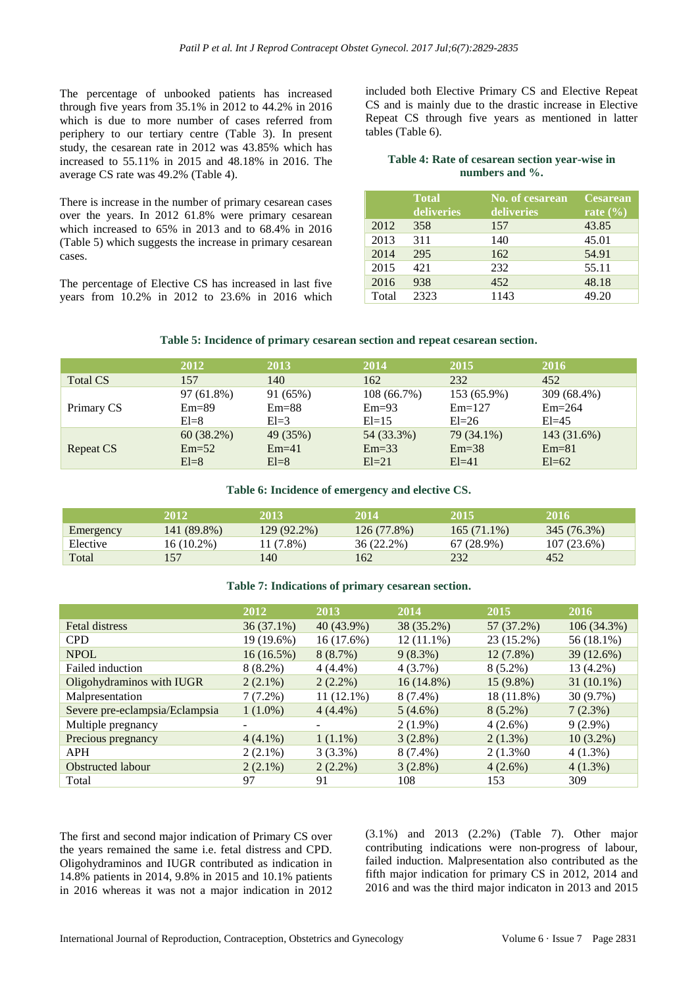The percentage of unbooked patients has increased through five years from 35.1% in 2012 to 44.2% in 2016 which is due to more number of cases referred from periphery to our tertiary centre (Table 3). In present study, the cesarean rate in 2012 was 43.85% which has increased to 55.11% in 2015 and 48.18% in 2016. The average CS rate was 49.2% (Table 4).

There is increase in the number of primary cesarean cases over the years. In 2012 61.8% were primary cesarean which increased to 65% in 2013 and to 68.4% in 2016 (Table 5) which suggests the increase in primary cesarean cases.

The percentage of Elective CS has increased in last five years from 10.2% in 2012 to 23.6% in 2016 which included both Elective Primary CS and Elective Repeat CS and is mainly due to the drastic increase in Elective Repeat CS through five years as mentioned in latter tables (Table 6).

#### **Table 4: Rate of cesarean section year-wise in numbers and %.**

|       | <b>Total</b><br>deliveries | No. of cesarean<br>deliveries | <b>Cesarean</b><br>rate $(\% )$ |
|-------|----------------------------|-------------------------------|---------------------------------|
| 2012  | 358                        | 157                           | 43.85                           |
| 2013  | 311                        | 140                           | 45.01                           |
| 2014  | 295                        | 162                           | 54.91                           |
| 2015  | 421                        | 232                           | 55.11                           |
| 2016  | 938                        | 452                           | 48.18                           |
| Total | 2323                       | 1143                          | 49.20                           |

#### **Table 5: Incidence of primary cesarean section and repeat cesarean section.**

|            | 2012       | 2013     | 2014       | 2015        | 2016        |
|------------|------------|----------|------------|-------------|-------------|
| Total CS   | 157        | 140      | 162        | 232         | 452         |
| Primary CS | 97 (61.8%) | 91 (65%) | 108(66.7%) | 153 (65.9%) | 309 (68.4%) |
|            | $Em=89$    | $Em=88$  | $Em=93$    | $Em=127$    | $Em=264$    |
|            | $El = 8$   | $El=3$   | $El=15$    | $E1=26$     | $El=45$     |
| Repeat CS  | 60(38.2%)  | 49 (35%) | 54 (33.3%) | 79 (34.1%)  | 143 (31.6%) |
|            | $Em=52$    | $Em=41$  | $Em=33$    | $Em=38$     | $Em=81$     |
|            | $El=8$     | $El=8$   | $El=21$    | $El = 41$   | $El=62$     |

#### **Table 6: Incidence of emergency and elective CS.**

|           | 2012        | 2013        | 2014        | 2015          | 2016        |
|-----------|-------------|-------------|-------------|---------------|-------------|
| Emergency | 141 (89.8%) | 129 (92.2%) | 126 (77.8%) | $165(71.1\%)$ | 345 (76.3%) |
| Elective  | 16 (10.2%)  | (1 (7.8%)   | 36 (22.2%)  | $67(28.9\%)$  | 107 (23.6%) |
| Total     | .57         | 140         | 162         | 232           | 452         |

### **Table 7: Indications of primary cesarean section.**

|                                | 2012         | 2013         | 2014         | 2015        | 2016         |
|--------------------------------|--------------|--------------|--------------|-------------|--------------|
| <b>Fetal distress</b>          | $36(37.1\%)$ | 40 (43.9%)   | 38 (35.2%)   | 57 (37.2%)  | 106(34.3%)   |
| <b>CPD</b>                     | 19 (19.6%)   | 16(17.6%)    | $12(11.1\%)$ | 23 (15.2%)  | 56 (18.1%)   |
| <b>NPOL</b>                    | $16(16.5\%)$ | 8(8.7%)      | $9(8.3\%)$   | $12(7.8\%)$ | 39 (12.6%)   |
| Failed induction               | $8(8.2\%)$   | $4(4.4\%)$   | $4(3.7\%)$   | $8(5.2\%)$  | 13 (4.2%)    |
| Oligohydraminos with IUGR      | $2(2.1\%)$   | $2(2.2\%)$   | $16(14.8\%)$ | $15(9.8\%)$ | $31(10.1\%)$ |
| Malpresentation                | $7(7.2\%)$   | $11(12.1\%)$ | $8(7.4\%)$   | 18 (11.8%)  | 30 (9.7%)    |
| Severe pre-eclampsia/Eclampsia | $1(1.0\%)$   | $4(4.4\%)$   | $5(4.6\%)$   | $8(5.2\%)$  | 7(2.3%)      |
| Multiple pregnancy             |              |              | $2(1.9\%)$   | $4(2.6\%)$  | $9(2.9\%)$   |
| Precious pregnancy             | $4(4.1\%)$   | $1(1.1\%)$   | 3(2.8%)      | $2(1.3\%)$  | $10(3.2\%)$  |
| <b>APH</b>                     | $2(2.1\%)$   | 3(3.3%)      | $8(7.4\%)$   | $2(1.3\%0)$ | $4(1.3\%)$   |
| Obstructed labour              | $2(2.1\%)$   | $2(2.2\%)$   | $3(2.8\%)$   | $4(2.6\%)$  | $4(1.3\%)$   |
| Total                          | 97           | 91           | 108          | 153         | 309          |

The first and second major indication of Primary CS over the years remained the same i.e. fetal distress and CPD. Oligohydraminos and IUGR contributed as indication in 14.8% patients in 2014, 9.8% in 2015 and 10.1% patients in 2016 whereas it was not a major indication in 2012 (3.1%) and 2013 (2.2%) (Table 7). Other major contributing indications were non-progress of labour, failed induction. Malpresentation also contributed as the fifth major indication for primary CS in 2012, 2014 and 2016 and was the third major indicaton in 2013 and 2015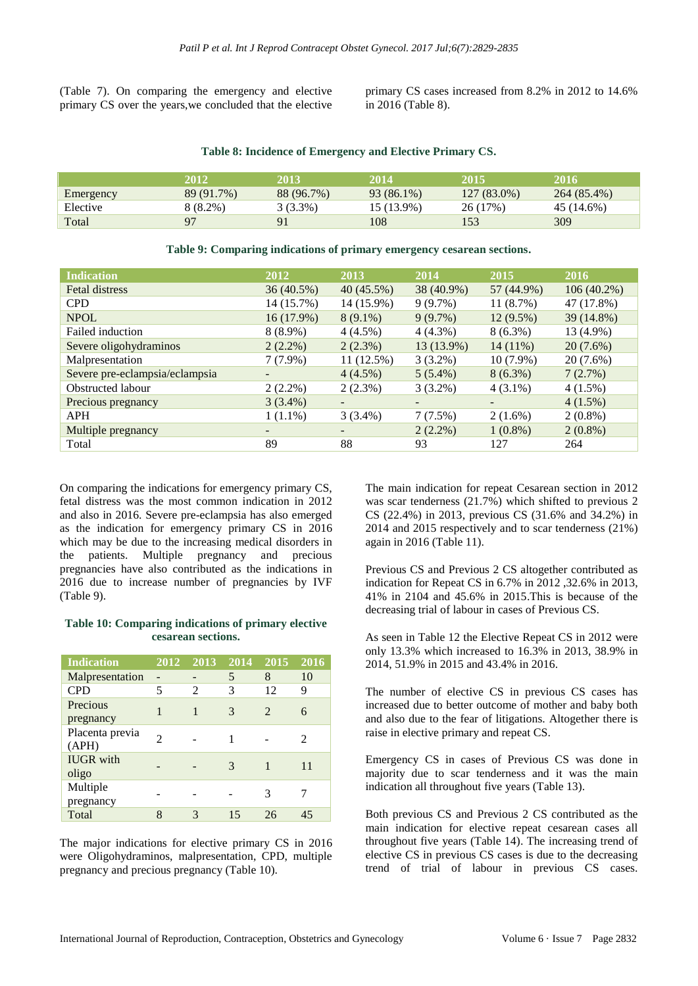(Table 7). On comparing the emergency and elective primary CS over the years,we concluded that the elective

primary CS cases increased from 8.2% in 2012 to 14.6% in 2016 (Table 8).

|           | 2012         | 2013       | 2014       | 2015        | 2016        |
|-----------|--------------|------------|------------|-------------|-------------|
| Emergency | 89 (91.7%)   | 88 (96.7%) | 93 (86.1%) | 127 (83.0%) | 264 (85.4%) |
| Elective  | 8 (8.2%)     | $3(3.3\%)$ | 15 (13.9%) | 26 (17%)    | 45 (14.6%)  |
| Total     | $\mathbf{Q}$ | 91         | 108        | 53          | 309         |

| <b>Indication</b>              | 2012         | 2013                     | 2014       | 2015        | 2016          |
|--------------------------------|--------------|--------------------------|------------|-------------|---------------|
| Fetal distress                 | 36(40.5%)    | 40 (45.5%)               | 38 (40.9%) | 57 (44.9%)  | $106(40.2\%)$ |
| <b>CPD</b>                     | 14 (15.7%)   | 14 (15.9%)               | $9(9.7\%)$ | 11(8.7%)    | 47 (17.8%)    |
| <b>NPOL</b>                    | $16(17.9\%)$ | $8(9.1\%)$               | 9(9.7%)    | $12(9.5\%)$ | 39 (14.8%)    |
| Failed induction               | $8(8.9\%)$   | $4(4.5\%)$               | $4(4.3\%)$ | $8(6.3\%)$  | 13 (4.9%)     |
| Severe oligohydraminos         | $2(2.2\%)$   | $2(2.3\%)$               | 13 (13.9%) | $14(11\%)$  | $20(7.6\%)$   |
| Malpresentation                | $7(7.9\%)$   | $11(12.5\%)$             | $3(3.2\%)$ | $10(7.9\%)$ | $20(7.6\%)$   |
| Severe pre-eclampsia/eclampsia |              | $4(4.5\%)$               | $5(5.4\%)$ | $8(6.3\%)$  | 7(2.7%)       |
| Obstructed labour              | $2(2.2\%)$   | $2(2.3\%)$               | $3(3.2\%)$ | $4(3.1\%)$  | $4(1.5\%)$    |
| Precious pregnancy             | $3(3.4\%)$   | $\overline{\phantom{0}}$ |            |             | $4(1.5\%)$    |
| <b>APH</b>                     | $1(1.1\%)$   | $3(3.4\%)$               | 7(7.5%)    | $2(1.6\%)$  | $2(0.8\%)$    |
| Multiple pregnancy             |              | -                        | $2(2.2\%)$ | $1(0.8\%)$  | $2(0.8\%)$    |
| Total                          | 89           | 88                       | 93         | 127         | 264           |

## **Table 9: Comparing indications of primary emergency cesarean sections.**

On comparing the indications for emergency primary CS, fetal distress was the most common indication in 2012 and also in 2016. Severe pre-eclampsia has also emerged as the indication for emergency primary CS in 2016 which may be due to the increasing medical disorders in the patients. Multiple pregnancy and precious pregnancies have also contributed as the indications in 2016 due to increase number of pregnancies by IVF (Table 9).

#### **Table 10: Comparing indications of primary elective cesarean sections.**

| <b>Indication</b>         | 2012                        | 2013 | 2014 | $20\overline{15}$           | 2016                        |
|---------------------------|-----------------------------|------|------|-----------------------------|-----------------------------|
| Malpresentation           |                             |      | 5    | 8                           | 10                          |
| <b>CPD</b>                | 5                           | 2    | 3    | 12                          | 9                           |
| Precious<br>pregnancy     |                             |      | 3    | $\mathcal{D}_{\mathcal{A}}$ | 6                           |
| Placenta previa<br>(APH)  | $\mathcal{D}_{\mathcal{L}}$ |      |      |                             | $\mathcal{D}_{\mathcal{L}}$ |
| <b>IUGR</b> with<br>oligo |                             |      | 3    |                             | 11                          |
| Multiple<br>pregnancy     |                             |      |      | 3                           |                             |
| Total                     | 8                           | 3    | 15   | 26                          | 45                          |

The major indications for elective primary CS in 2016 were Oligohydraminos, malpresentation, CPD, multiple pregnancy and precious pregnancy (Table 10).

The main indication for repeat Cesarean section in 2012 was scar tenderness (21.7%) which shifted to previous 2 CS (22.4%) in 2013, previous CS (31.6% and 34.2%) in 2014 and 2015 respectively and to scar tenderness (21%) again in 2016 (Table 11).

Previous CS and Previous 2 CS altogether contributed as indication for Repeat CS in 6.7% in 2012 ,32.6% in 2013, 41% in 2104 and 45.6% in 2015.This is because of the decreasing trial of labour in cases of Previous CS.

As seen in Table 12 the Elective Repeat CS in 2012 were only 13.3% which increased to 16.3% in 2013, 38.9% in 2014, 51.9% in 2015 and 43.4% in 2016.

The number of elective CS in previous CS cases has increased due to better outcome of mother and baby both and also due to the fear of litigations. Altogether there is raise in elective primary and repeat CS.

Emergency CS in cases of Previous CS was done in majority due to scar tenderness and it was the main indication all throughout five years (Table 13).

Both previous CS and Previous 2 CS contributed as the main indication for elective repeat cesarean cases all throughout five years (Table 14). The increasing trend of elective CS in previous CS cases is due to the decreasing trend of trial of labour in previous CS cases.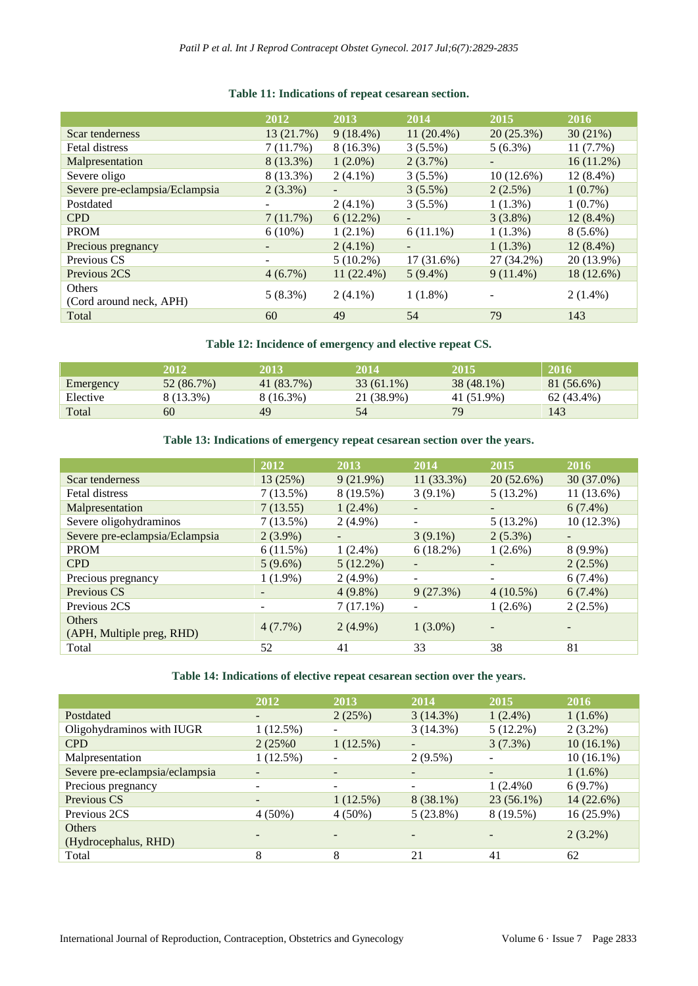## **2012 2013 2014 2015 2016** Scar tenderness 13 (21.7%) 9 (18.4%) 11 (20.4%) 20 (25.3%) 30 (21%) Fetal distress 7 (11.7%) 8 (16.3%) 3 (5.5%) 5 (6.3%) 11 (7.7%) Malpresentation 8 (13.3%) 1 (2.0%) 2 (3.7%) 16 (11.2%) Severe oligo 8 (13.3%) 2 (4.1%) 3 (5.5%) 10 (12.6%) 12 (8.4%) Severe pre-eclampsia/Eclampsia 2 (3.3%) - 3 (5.5%) 2 (2.5%) 1 (0.7%) Postdated  $2(4.1\%)$  3 (5.5%) 1 (1.3%) 1 (0.7%) CPD  $7 (11.7\%) \t6 (12.2\%)$  - 3 (3.8%) 12 (8.4%) **PROM** 6 (10%) 1 (2.1%) 6 (11.1%) 1 (1.3%) 8 (5.6%) Precious pregnancy  $2(4.1\%)$  -  $1(1.3\%)$  12 (8.4%) Previous CS - 5 (10.2%) 17 (31.6%) 27 (34.2%) 20 (13.9%) Previous 2CS 4 (6.7%) 11 (22.4%) 5 (9.4%) 9 (11.4%) 18 (12.6%) Others Uniers<br>
(Cord around neck, APH) 5 (8.3%) 2 (4.1%) 1 (1.8%) - 2 (1.4%) Total 60  $\frac{49}{54}$  79 143

#### **Table 11: Indications of repeat cesarean section.**

**Table 12: Incidence of emergency and elective repeat CS.**

|           | 2012       | 2013       | 2014         | 2015       | 2016       |
|-----------|------------|------------|--------------|------------|------------|
| Emergency | 52 (86.7%) | 41 (83.7%) | $33(61.1\%)$ | 38 (48.1%) | 81 (56.6%) |
| Elective  | 8 (13.3%)  | 8 (16.3%)  | 21 (38.9%)   | 41 (51.9%) | 62 (43.4%) |
| Total     | 60         | 49         | 54           | 79         | 143        |

#### **Table 13: Indications of emergency repeat cesarean section over the years.**

|                                | 2012       | 2013        | 2014        | 2015         | 2016       |
|--------------------------------|------------|-------------|-------------|--------------|------------|
| Scar tenderness                | 13(25%)    | 9(21.9%)    | 11 (33.3%)  | $20(52.6\%)$ | 30 (37.0%) |
| Fetal distress                 | 7(13.5%)   | 8 (19.5%)   | $3(9.1\%)$  | $5(13.2\%)$  | 11 (13.6%) |
| Malpresentation                | 7(13.55)   | $1(2.4\%)$  |             |              | $6(7.4\%)$ |
| Severe oligohydraminos         | 7(13.5%)   | $2(4.9\%)$  |             | $5(13.2\%)$  | 10(12.3%)  |
| Severe pre-eclampsia/Eclampsia | $2(3.9\%)$ | -           | $3(9.1\%)$  | $2(5.3\%)$   |            |
| <b>PROM</b>                    | 6(11.5%)   | $1(2.4\%)$  | $6(18.2\%)$ | $1(2.6\%)$   | $8(9.9\%)$ |
| <b>CPD</b>                     | $5(9.6\%)$ | $5(12.2\%)$ |             |              | $2(2.5\%)$ |
| Precious pregnancy             | $1(1.9\%)$ | $2(4.9\%)$  |             |              | $6(7.4\%)$ |
| Previous CS                    |            | $4(9.8\%)$  | 9(27.3%)    | $4(10.5\%)$  | $6(7.4\%)$ |
| Previous 2CS                   |            | $7(17.1\%)$ |             | $1(2.6\%)$   | $2(2.5\%)$ |
| <b>Others</b>                  | 4(7.7%)    | $2(4.9\%)$  | $1(3.0\%)$  |              |            |
| (APH, Multiple preg, RHD)      |            |             |             |              |            |
| Total                          | 52         | 41          | 33          | 38           | 81         |

#### **Table 14: Indications of elective repeat cesarean section over the years.**

|                                | 2012                         | 2013                         | 2014        | 2015         | 2016         |
|--------------------------------|------------------------------|------------------------------|-------------|--------------|--------------|
| Postdated                      | $\overline{\phantom{0}}$     | 2(25%)                       | 3(14.3%)    | $1(2.4\%)$   | $1(1.6\%)$   |
| Oligohydraminos with IUGR      | $1(12.5\%)$                  |                              | 3(14.3%)    | $5(12.2\%)$  | $2(3.2\%)$   |
| <b>CPD</b>                     | 2(25%0)                      | 1(12.5%)                     |             | 3(7.3%)      | $10(16.1\%)$ |
| Malpresentation                | 1(12.5%)                     |                              | $2(9.5\%)$  |              | $10(16.1\%)$ |
| Severe pre-eclampsia/eclampsia | $\overline{\phantom{0}}$     | $\overline{\phantom{0}}$     |             |              | $1(1.6\%)$   |
| Precious pregnancy             | $\qquad \qquad \blacksquare$ | $\qquad \qquad \blacksquare$ |             | $1(2.4\%0)$  | $6(9.7\%)$   |
| Previous CS                    | $\qquad \qquad \blacksquare$ | 1(12.5%)                     | $8(38.1\%)$ | $23(56.1\%)$ | 14 (22.6%)   |
| Previous 2CS                   | $4(50\%)$                    | $4(50\%)$                    | $5(23.8\%)$ | 8 (19.5%)    | 16 (25.9%)   |
| <b>Others</b>                  |                              |                              |             |              | $2(3.2\%)$   |
| (Hydrocephalus, RHD)           | $\overline{\phantom{0}}$     |                              |             |              |              |
| Total                          | 8                            | 8                            | 21          | 41           | 62           |
|                                |                              |                              |             |              |              |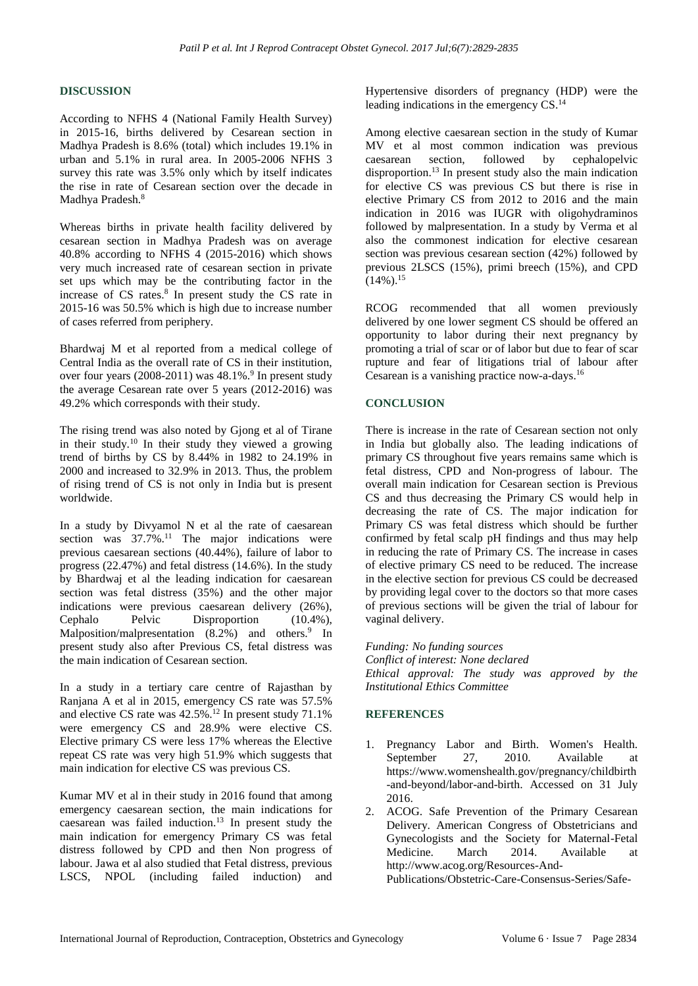#### **DISCUSSION**

According to NFHS 4 (National Family Health Survey) in 2015-16, births delivered by Cesarean section in Madhya Pradesh is 8.6% (total) which includes 19.1% in urban and 5.1% in rural area. In 2005-2006 NFHS 3 survey this rate was 3.5% only which by itself indicates the rise in rate of Cesarean section over the decade in Madhya Pradesh. 8

Whereas births in private health facility delivered by cesarean section in Madhya Pradesh was on average 40.8% according to NFHS 4 (2015-2016) which shows very much increased rate of cesarean section in private set ups which may be the contributing factor in the increase of CS rates. 8 In present study the CS rate in 2015-16 was 50.5% which is high due to increase number of cases referred from periphery.

Bhardwaj M et al reported from a medical college of Central India as the overall rate of CS in their institution, over four years  $(2008-2011)$  was  $48.1\%$ .<sup>9</sup> In present study the average Cesarean rate over 5 years (2012-2016) was 49.2% which corresponds with their study.

The rising trend was also noted by Gjong et al of Tirane in their study.<sup>10</sup> In their study they viewed a growing trend of births by CS by 8.44% in 1982 to 24.19% in 2000 and increased to 32.9% in 2013. Thus, the problem of rising trend of CS is not only in India but is present worldwide.

In a study by Divyamol N et al the rate of caesarean section was  $37.7\%$ .<sup>11</sup> The major indications were previous caesarean sections (40.44%), failure of labor to progress (22.47%) and fetal distress (14.6%). In the study by Bhardwaj et al the leading indication for caesarean section was fetal distress (35%) and the other major indications were previous caesarean delivery (26%), Cephalo Pelvic Disproportion (10.4%), Malposition/malpresentation (8.2%) and others.<sup>9</sup> In present study also after Previous CS, fetal distress was the main indication of Cesarean section.

In a study in a tertiary care centre of Rajasthan by Ranjana A et al in 2015, emergency CS rate was 57.5% and elective CS rate was 42.5%. <sup>12</sup> In present study 71.1% were emergency CS and 28.9% were elective CS. Elective primary CS were less 17% whereas the Elective repeat CS rate was very high 51.9% which suggests that main indication for elective CS was previous CS.

Kumar MV et al in their study in 2016 found that among emergency caesarean section, the main indications for caesarean was failed induction. <sup>13</sup> In present study the main indication for emergency Primary CS was fetal distress followed by CPD and then Non progress of labour. Jawa et al also studied that Fetal distress, previous LSCS, NPOL (including failed induction) and Hypertensive disorders of pregnancy (HDP) were the leading indications in the emergency CS.<sup>14</sup>

Among elective caesarean section in the study of Kumar MV et al most common indication was previous caesarean section, followed by cephalopelvic disproportion. <sup>13</sup> In present study also the main indication for elective CS was previous CS but there is rise in elective Primary CS from 2012 to 2016 and the main indication in 2016 was IUGR with oligohydraminos followed by malpresentation. In a study by Verma et al also the commonest indication for elective cesarean section was previous cesarean section (42%) followed by previous 2LSCS (15%), primi breech (15%), and CPD  $(14\%)$ <sup>15</sup>

RCOG recommended that all women previously delivered by one lower segment CS should be offered an opportunity to labor during their next pregnancy by promoting a trial of scar or of labor but due to fear of scar rupture and fear of litigations trial of labour after Cesarean is a vanishing practice now-a-days.<sup>16</sup>

## **CONCLUSION**

There is increase in the rate of Cesarean section not only in India but globally also. The leading indications of primary CS throughout five years remains same which is fetal distress, CPD and Non-progress of labour. The overall main indication for Cesarean section is Previous CS and thus decreasing the Primary CS would help in decreasing the rate of CS. The major indication for Primary CS was fetal distress which should be further confirmed by fetal scalp pH findings and thus may help in reducing the rate of Primary CS. The increase in cases of elective primary CS need to be reduced. The increase in the elective section for previous CS could be decreased by providing legal cover to the doctors so that more cases of previous sections will be given the trial of labour for vaginal delivery.

*Funding: No funding sources Conflict of interest: None declared Ethical approval: The study was approved by the Institutional Ethics Committee*

#### **REFERENCES**

- 1. Pregnancy Labor and Birth. Women's Health. September 27, 2010. Available at [https://www.womenshealth.gov/pregnancy/childbirth](https://www.womenshealth.gov/pregnancy/childbirth-and-beyond/labor-and-birth) [-and-beyond/labor-and-birth.](https://www.womenshealth.gov/pregnancy/childbirth-and-beyond/labor-and-birth) Accessed on 31 July 2016.
- 2. ACOG. Safe Prevention of the Primary Cesarean Delivery. American Congress of Obstetricians and Gynecologists and the Society for Maternal-Fetal Medicine. March 2014. Available at http://www.acog.org/Resources-And-

Publications/Obstetric-Care-Consensus-Series/Safe-